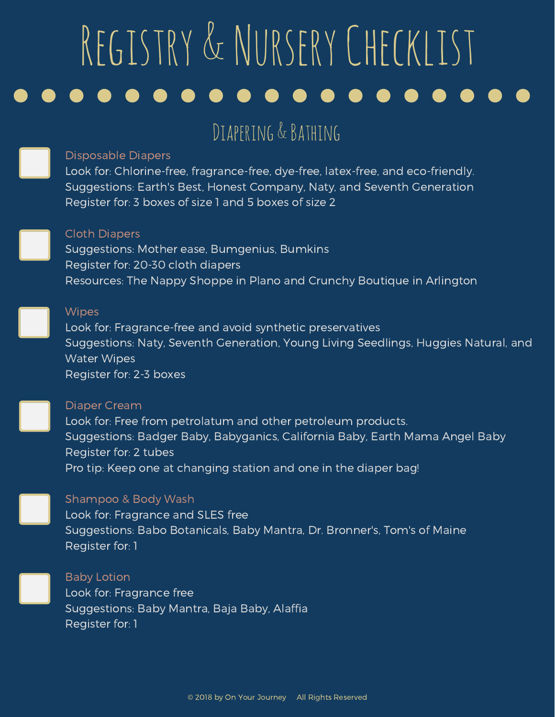# Diapering & Bathing

#### Disposable Diapers

Look for: Chlorine-free, fragrance-free, dye-free, latex-free, and eco-friendly. Suggestions: Earth's Best, Honest Company, Naty, and Seventh Generation Register for: 3 boxes of size 1 and 5 boxes of size 2

#### Cloth Diapers

Suggestions: Mother ease, Bumgenius, Bumkins Register for: 20-30 cloth diapers Resources: The Nappy Shoppe in Plano and Crunchy Boutique in Arlington

#### **Wipes**

Look for: Fragrance-free and avoid synthetic preservatives Suggestions: Naty, Seventh Generation, Young Living Seedlings, Huggies Natural, and Water Wipes Register for: 2-3 boxes

#### Diaper Cream

Look for: Free from petrolatum and other petroleum products. Suggestions: Badger Baby, Babyganics, California Baby, Earth Mama Angel Baby Register for: 2 tubes Pro tip: Keep one at changing station and one in the diaper bag!

#### Shampoo & Body Wash

Look for: Fragrance and SLES free Suggestions: Babo Botanicals, Baby Mantra, Dr. Bronner's, Tom's of Maine Register for: 1

#### Baby Lotion

Look for: Fragrance free Suggestions: Baby Mantra, Baja Baby, Alaffia Register for: 1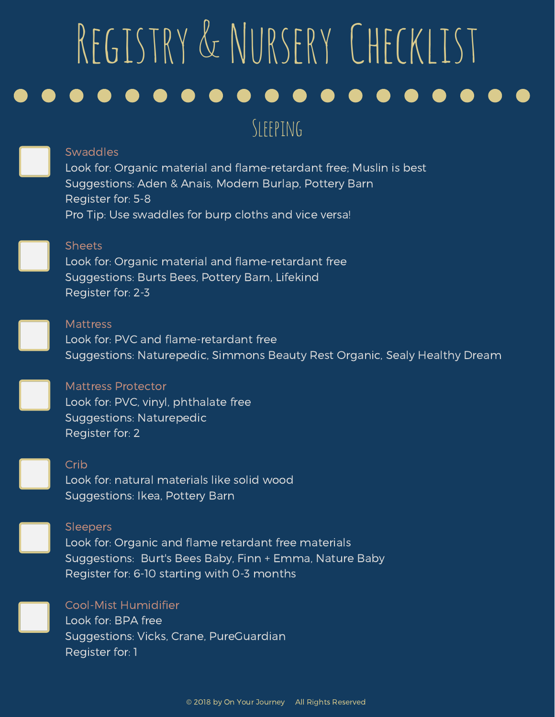### $S$  FFPING

#### **Swaddles**

Look for: Organic material and flame-retardant free; Muslin is best Suggestions: Aden & Anais, Modern Burlap, Pottery Barn Register for: 5-8 Pro Tip: Use swaddles for burp cloths and vice versa!



#### Sheets

Look for: Organic material and flame-retardant free Suggestions: Burts Bees, Pottery Barn, Lifekind Register for: 2-3



#### **Mattress**

Look for: PVC and flame-retardant free Suggestions: Naturepedic, Simmons Beauty Rest Organic, Sealy Healthy Dream

#### Mattress Protector

Look for: PVC, vinyl, phthalate free Suggestions: Naturepedic Register for: 2



#### Crib

Look for: natural materials like solid wood Suggestions: Ikea, Pottery Barn

#### Sleepers

Look for: Organic and flame retardant free materials Suggestions: Burt's Bees Baby, Finn + Emma, Nature Baby Register for: 6-10 starting with 0-3 months

#### Cool-Mist Humidifier

Look for: BPA free Suggestions: Vicks, Crane, PureGuardian Register for: 1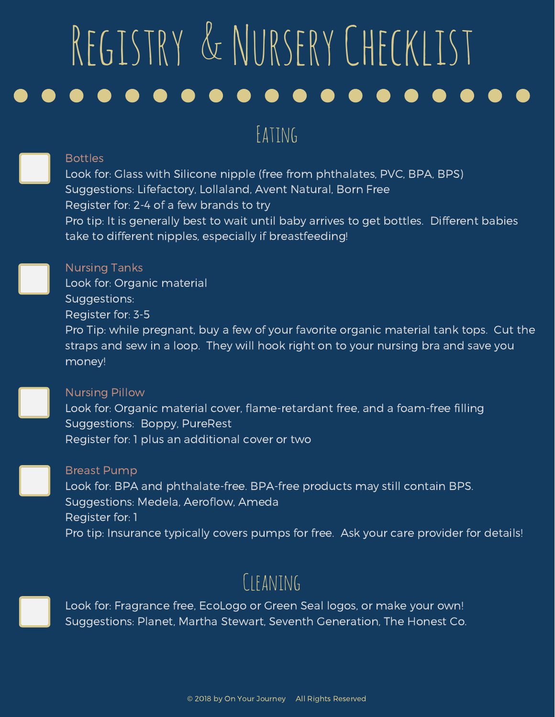## Eating

#### **Bottles**

Look for: Glass with Silicone nipple (free from phthalates, PVC, BPA, BPS) Suggestions: Lifefactory, Lollaland, Avent Natural, Born Free Register for: 2-4 of a few brands to try Pro tip: It is generally best to wait until baby arrives to get bottles. Different babies take to different nipples, especially if breastfeeding!

#### Nursing Tanks

Look for: Organic material Suggestions: Register for: 3-5 Pro Tip: while pregnant, buy a few of your favorite organic material tank tops. Cut the straps and sew in a loop. They will hook right on to your nursing bra and save you money!

#### Nursing Pillow

Look for: Organic material cover, flame-retardant free, and a foam-free filling Suggestions: Boppy, PureRest Register for: 1 plus an additional cover or two

#### Breast Pump

Look for: BPA and phthalate-free. BPA-free products may still contain BPS. Suggestions: Medela, Aeroflow, Ameda Register for: 1 Pro tip: Insurance typically covers pumps for free. Ask your care provider for details!

# CIFANING

Look for: Fragrance free, EcoLogo or Green Seal logos, or make your own! Suggestions: Planet, Martha Stewart, Seventh Generation, The Honest Co.